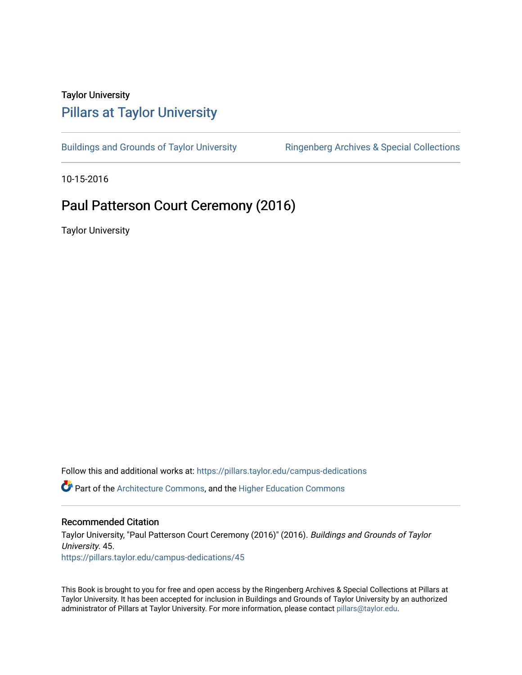## Taylor University [Pillars at Taylor University](https://pillars.taylor.edu/)

[Buildings and Grounds of Taylor University](https://pillars.taylor.edu/campus-dedications) **Ringenberg Archives & Special Collections** 

10-15-2016

# Paul Patterson Court Ceremony (2016)

Taylor University

Follow this and additional works at: [https://pillars.taylor.edu/campus-dedications](https://pillars.taylor.edu/campus-dedications?utm_source=pillars.taylor.edu%2Fcampus-dedications%2F45&utm_medium=PDF&utm_campaign=PDFCoverPages) Part of the [Architecture Commons,](http://network.bepress.com/hgg/discipline/773?utm_source=pillars.taylor.edu%2Fcampus-dedications%2F45&utm_medium=PDF&utm_campaign=PDFCoverPages) and the [Higher Education Commons](http://network.bepress.com/hgg/discipline/1245?utm_source=pillars.taylor.edu%2Fcampus-dedications%2F45&utm_medium=PDF&utm_campaign=PDFCoverPages) 

### Recommended Citation

Taylor University, "Paul Patterson Court Ceremony (2016)" (2016). Buildings and Grounds of Taylor University. 45. [https://pillars.taylor.edu/campus-dedications/45](https://pillars.taylor.edu/campus-dedications/45?utm_source=pillars.taylor.edu%2Fcampus-dedications%2F45&utm_medium=PDF&utm_campaign=PDFCoverPages) 

This Book is brought to you for free and open access by the Ringenberg Archives & Special Collections at Pillars at Taylor University. It has been accepted for inclusion in Buildings and Grounds of Taylor University by an authorized administrator of Pillars at Taylor University. For more information, please contact [pillars@taylor.edu](mailto:pillars@taylor.edu).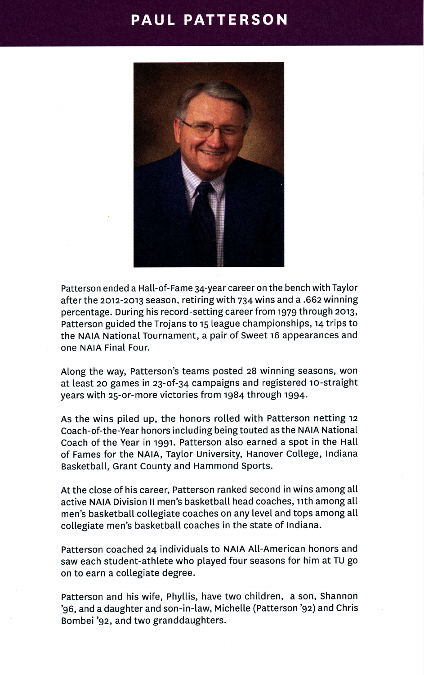## **PAUL PATTERSON**



Patterson ended a Hall-of-Fame 34-year career on the bench with Taytor after the 2012-2013 season, retiring with 734 wins and a .662 winning percentage. During his record-setting career from 1979 through 2013, Patterson guided the Trojans to r5 league championships, t4 trips to the NAIA National Tournament, a pair of Sweet 16 appearances and one NAIA Final Four.

Along the way, Patterson's teams posted z8 winning seasons, won at least 20 games in 23-of-34 campaigns and registered 10-straight years with 25-or-more victories from 1984 through 1994.

As the wins pited up, the honors rolled with Patterson netting <sup>12</sup> Coach-of-the-Year honors including being touted as the NAIA National Coach of the Year in 1991. Patterson also earned a spot in the Hatl of Fames for the NAIA, Taytor University, Hanover College, lndiana Basketball, Grant County and Hammond Sports.

At the close of his career, Patterson ranked second in wins among all active NAIA Division II men's basketball head coaches, 11th among all men's basketball collegiate coaches on any level and tops among all collegiate men's basketball coaches in the state of Indiana.

Patterson coached 24 individuals to NAIA All-American honors and saw each student-athlete who played four seasons for him at TU go on to earn a collegiate degree.

Patterson and his wife, Phytlis, have two children, a son, Shannon '96, and a daughter and son-in-law, Michetle (Patterson '92) and Chris Bombei '92, and two granddaughters.